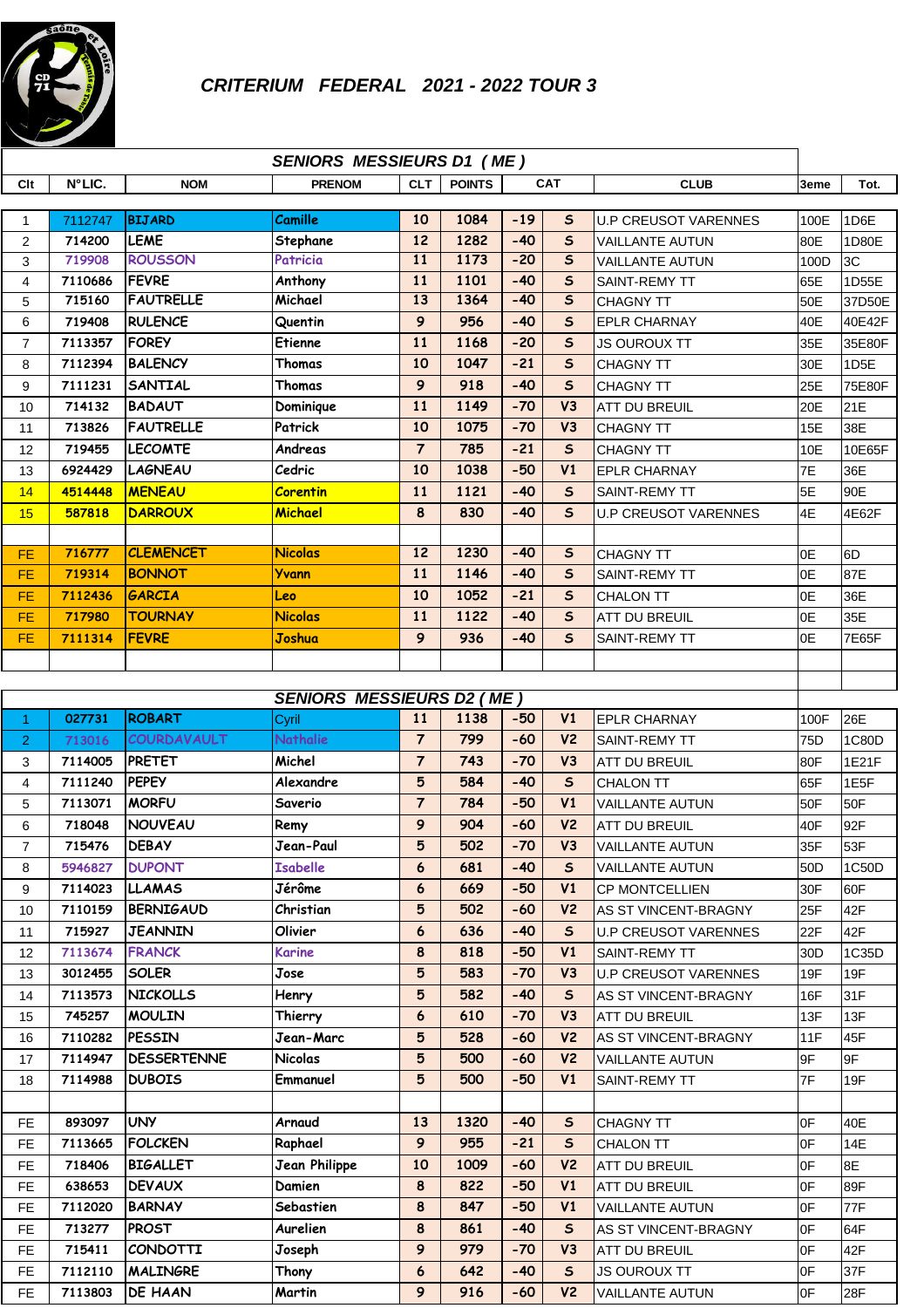

|                | <b>SENIORS MESSIEURS D1 (ME)</b> |                              |                                  |                 |               |            |                   |                                           |                 |                  |
|----------------|----------------------------------|------------------------------|----------------------------------|-----------------|---------------|------------|-------------------|-------------------------------------------|-----------------|------------------|
| Clt            | N°LIC.                           | <b>NOM</b>                   | <b>PRENOM</b>                    | <b>CLT</b>      | <b>POINTS</b> | <b>CAT</b> |                   | <b>CLUB</b>                               | 3eme            | Tot.             |
|                |                                  |                              |                                  | 10              | 1084          | $-19$      |                   |                                           |                 |                  |
| 1<br>2         | 7112747<br>714200                | <b>BIJARD</b><br><b>LEME</b> | Camille<br>Stephane              | 12              | 1282          | $-40$      | S<br>$\mathsf{s}$ | <b>U.P CREUSOT VARENNES</b>               | 100E            | 1D6E             |
| 3              | 719908                           | <b>ROUSSON</b>               | Patricia                         | 11              | 1173          | $-20$      | $\mathsf{s}$      | VAILLANTE AUTUN<br><b>VAILLANTE AUTUN</b> | 80E<br>100D     | 1D80E<br>3C      |
| 4              | 7110686                          | <b>FEVRE</b>                 | Anthony                          | 11              | 1101          | $-40$      | $\mathsf{s}$      | SAINT-REMY TT                             | 65E             | 1D55E            |
| 5              | 715160                           | <b>FAUTRELLE</b>             | Michael                          | 13              | 1364          | $-40$      | $\mathsf{s}$      | <b>CHAGNY TT</b>                          | 50E             | 37D50E           |
| 6              | 719408                           | <b>RULENCE</b>               | Quentin                          | 9               | 956           | $-40$      | $\mathsf{s}$      | <b>EPLR CHARNAY</b>                       | 40E             | 40E42F           |
| $\overline{7}$ | 7113357                          | <b>FOREY</b>                 | Etienne                          | 11              | 1168          | $-20$      | $\mathsf{s}$      | <b>JS OUROUX TT</b>                       | 35E             | 35E80F           |
| 8              | 7112394                          | <b>BALENCY</b>               | Thomas                           | 10              | 1047          | $-21$      | $\mathsf{s}$      | <b>CHAGNY TT</b>                          | 30E             | 1D <sub>5E</sub> |
| 9              | 7111231                          | <b>SANTIAL</b>               | Thomas                           | 9               | 918           | $-40$      | $\mathsf{s}$      | <b>CHAGNY TT</b>                          | 25E             | 75E80F           |
| 10             | 714132                           | <b>BADAUT</b>                | Dominique                        | 11              | 1149          | $-70$      | V3                | ATT DU BREUIL                             | 20E             | 21E              |
| 11             | 713826                           | <b>FAUTRELLE</b>             | Patrick                          | 10              | 1075          | $-70$      | V3                | <b>CHAGNY TT</b>                          | 15E             | 38E              |
| 12             | 719455                           | <b>LECOMTE</b>               | Andreas                          | $\overline{7}$  | 785           | $-21$      | $\mathsf{s}$      | <b>CHAGNY TT</b>                          | 10E             | 10E65F           |
| 13             | 6924429                          | LAGNEAU                      | Cedric                           | 10              | 1038          | $-50$      | V1                | <b>EPLR CHARNAY</b>                       | 7E              | 36E              |
| 14             | 4514448                          | <b>MENEAU</b>                | <b>Corentin</b>                  | 11              | 1121          | $-40$      | $\mathsf{s}$      | <b>SAINT-REMY TT</b>                      | 5E              | 90E              |
| 15             | 587818                           | <b>DARROUX</b>               | Michael                          | 8               | 830           | $-40$      | $\mathsf{s}$      | <b>U.P CREUSOT VARENNES</b>               | 4E              | 4E62F            |
|                |                                  |                              |                                  |                 |               |            |                   |                                           |                 |                  |
| <b>FE</b>      | 716777                           | <b>CLEMENCET</b>             | <b>Nicolas</b>                   | 12              | 1230          | $-40$      | $\mathsf{s}$      | <b>CHAGNY TT</b>                          | 0E              | 6D               |
| <b>FE</b>      | 719314                           | <b>BONNOT</b>                | <b>Yvann</b>                     | 11              | 1146          | $-40$      | $\mathsf{s}$      | <b>SAINT-REMY TT</b>                      | 0E              | 87E              |
| <b>FE</b>      | 7112436                          | <b>GARCIA</b>                | Leo                              | 10              | 1052          | $-21$      | $\mathsf{s}$      | <b>CHALON TT</b>                          | 0E              | 36E              |
| FE.            | 717980                           | <b>TOURNAY</b>               | <b>Nicolas</b>                   | 11              | 1122          | $-40$      | $\mathsf{s}$      | ATT DU BREUIL                             | 0E              | 35E              |
| <b>FE</b>      | 7111314                          | <b>FEVRE</b>                 | Joshua                           | $\mathbf{9}$    | 936           | $-40$      | $\mathsf{s}$      | SAINT-REMY TT                             | 0E              | 7E65F            |
|                |                                  |                              |                                  |                 |               |            |                   |                                           |                 |                  |
|                |                                  |                              |                                  |                 |               |            |                   |                                           |                 |                  |
|                |                                  |                              | <b>SENIORS MESSIEURS D2 (ME)</b> |                 |               |            |                   |                                           |                 |                  |
| $\mathbf{1}$   | 027731                           | <b>ROBART</b>                | Cyril                            | 11              | 1138          | $-50$      | V <sub>1</sub>    | <b>EPLR CHARNAY</b>                       | 100F            | 26E              |
| 2              | 713016                           | COURDAVAULT                  | <b>Nathalie</b>                  | $\overline{7}$  | 799           | $-60$      | V <sub>2</sub>    | <b>SAINT-REMY TT</b>                      | 75D             | 1C80D            |
| 3              | 7114005                          | <b>PRETET</b>                | Michel                           | $\overline{7}$  | 743           | $-70$      | V <sub>3</sub>    | ATT DU BREUIL                             | 80F             | 1E21F            |
| 4              | 7111240                          | <b>PEPEY</b>                 | Alexandre                        | 5               | 584           | $-40$      | $\mathsf{s}$      | <b>CHALON TT</b>                          | 65F             | 1E5F             |
| 5              | 7113071                          | <b>MORFU</b>                 | Saverio                          | $\overline{7}$  | 784           | $-50$      | V1                | VAILLANTE AUTUN                           | 50F             | 50F              |
| 6              | 718048                           | <b>NOUVEAU</b>               | Remy                             | 9               | 904           | $-60$      | V <sub>2</sub>    | ATT DU BREUIL                             | 40F             | 92F              |
| $\overline{7}$ | 715476                           | <b>DEBAY</b>                 | Jean-Paul                        | 5               | 502           | $-70$      | V3                | VAILLANTE AUTUN                           | 35F             | 53F              |
| 8              | 5946827                          | <b>DUPONT</b>                | <b>Isabelle</b>                  | 6               | 681           | $-40$      | $\mathsf{s}$      | VAILLANTE AUTUN                           | 50 <sub>D</sub> | 1C50D            |
| 9              | 7114023                          | <b>LLAMAS</b>                | Jérôme                           | 6               | 669           | $-50$      | V1                | <b>CP MONTCELLIEN</b>                     | 30F             | 60F              |
| 10             | 7110159                          | <b>BERNIGAUD</b>             | Christian                        | 5               | 502           | $-60$      | V <sub>2</sub>    | AS ST VINCENT-BRAGNY                      | 25F             | 42F              |
| 11             | 715927                           | <b>JEANNIN</b>               | Olivier                          | 6               | 636           | $-40$      | $\sf s$           | <b>U.P CREUSOT VARENNES</b>               | 22F             | 42F              |
| 12             | 7113674                          | <b>FRANCK</b>                | Karine                           | 8               | 818           | $-50$      | V1                | SAINT-REMY TT                             | 30 <sub>D</sub> | 1C35D            |
| 13             | 3012455                          | <b>SOLER</b>                 | Jose                             | 5               | 583           | $-70$      | V3                | U.P CREUSOT VARENNES                      | 19F             | 19F              |
| 14             | 7113573                          | <b>NICKOLLS</b>              | Henry                            | $5\phantom{.0}$ | 582           | $-40$      | $\mathsf{s}$      | AS ST VINCENT-BRAGNY                      | 16F             | 31F              |
| 15             | 745257                           | <b>MOULIN</b>                | Thierry                          | 6               | 610           | $-70$      | V3                | <b>ATT DU BREUIL</b>                      | 13F             | 13F              |
| 16             | 7110282                          | <b>PESSIN</b>                | Jean-Marc                        | 5               | 528           | $-60$      | V <sub>2</sub>    | AS ST VINCENT-BRAGNY                      | 11F             | 45F              |
| 17             | 7114947                          | <b>DESSERTENNE</b>           | <b>Nicolas</b>                   | 5               | 500           | $-60$      | V <sub>2</sub>    | VAILLANTE AUTUN                           | 9F              | 9F               |
| 18             | 7114988                          | <b>DUBOIS</b>                | Emmanuel                         | 5               | 500           | $-50$      | V1                | SAINT-REMY TT                             | 7F              | 19F              |
|                |                                  |                              |                                  |                 |               |            |                   |                                           |                 |                  |
| FE.            | 893097                           | <b>UNY</b>                   | Arnaud                           | 13              | 1320          | $-40$      | $\mathsf{s}$      | <b>CHAGNY TT</b>                          | 0F              | 40E              |
| FE.            | 7113665                          | <b>FOLCKEN</b>               | Raphael                          | 9               | 955           | $-21$      | $\sf s$           | <b>CHALON TT</b>                          | 0F              | 14E              |
| FE.            | 718406                           | <b>BIGALLET</b>              | <b>Jean Philippe</b>             | 10              | 1009          | $-60$      | V <sub>2</sub>    | <b>ATT DU BREUIL</b>                      | 0F              | 8E               |
| FE             | 638653                           | <b>DEVAUX</b>                | Damien                           | 8               | 822           | $-50$      | V1                | ATT DU BREUIL                             | 0F              | 89F              |
| FE.            | 7112020                          | <b>BARNAY</b>                | Sebastien                        | 8               | 847           | $-50$      | V1                | VAILLANTE AUTUN                           | 0F              | 77F              |
| FE.            | 713277                           | PROST                        | Aurelien                         | 8               | 861           | $-40$      | $\mathsf{s}$      | AS ST VINCENT-BRAGNY                      | 0F              | 64F              |
| FE.            | 715411                           | <b>CONDOTTI</b>              | Joseph                           | 9               | 979           | $-70$      | V3                | <b>ATT DU BREUIL</b>                      | 0F              | 42F              |
| FE.            | 7112110                          | <b>MALINGRE</b>              | Thony                            | 6               | 642           | $-40$      | $\mathsf{s}$      | JS OUROUX TT                              | 0F              | 37F              |
| FE.            | 7113803                          | <b>DE HAAN</b>               | Martin                           | 9               | 916           | $-60$      | V <sub>2</sub>    | <b>VAILLANTE AUTUN</b>                    | 0F              | 28F              |